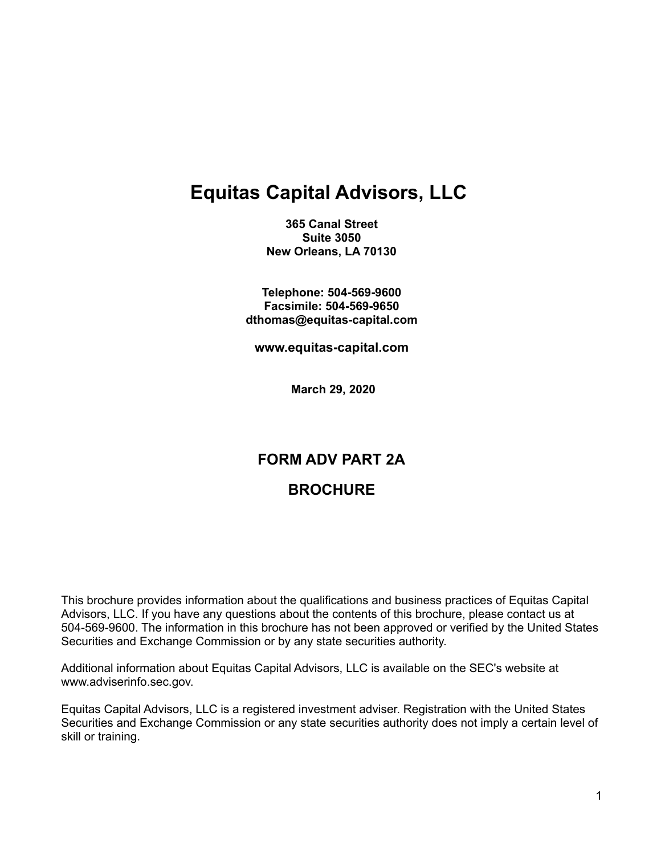# **Equitas Capital Advisors, LLC**

**365 Canal Street Suite 3050 New Orleans, LA 70130**

**Telephone: 504-569-9600 Facsimile: 504-569-9650 dthomas@equitas-capital.com**

**www.equitas-capital.com**

**March 29, 2020**

# **FORM ADV PART 2A BROCHURE**

This brochure provides information about the qualifications and business practices of Equitas Capital Advisors, LLC. If you have any questions about the contents of this brochure, please contact us at 504-569-9600. The information in this brochure has not been approved or verified by the United States Securities and Exchange Commission or by any state securities authority.

Additional information about Equitas Capital Advisors, LLC is available on the SEC's website at www.adviserinfo.sec.gov.

Equitas Capital Advisors, LLC is a registered investment adviser. Registration with the United States Securities and Exchange Commission or any state securities authority does not imply a certain level of skill or training.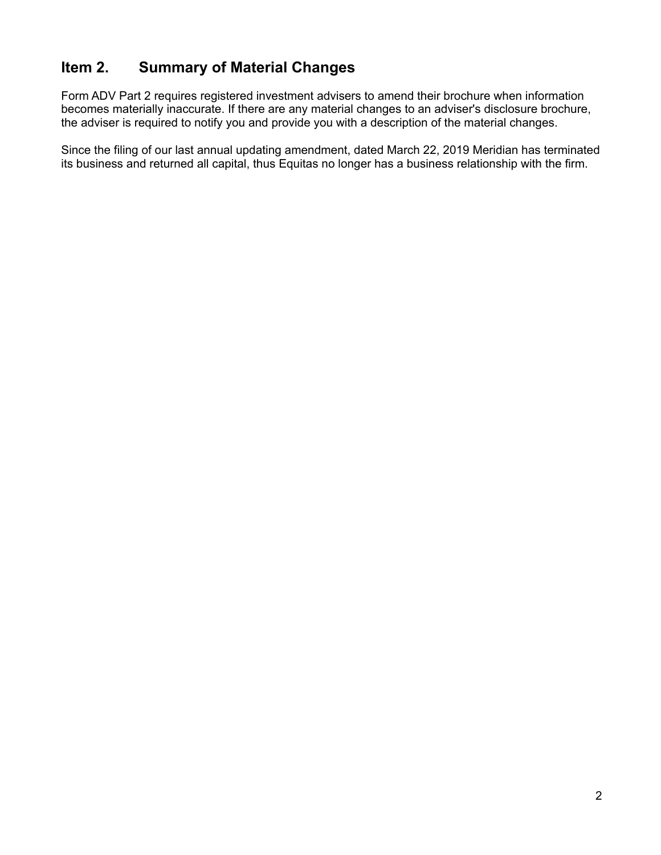# <span id="page-1-0"></span>**Item 2. Summary of Material Changes**

Form ADV Part 2 requires registered investment advisers to amend their brochure when information becomes materially inaccurate. If there are any material changes to an adviser's disclosure brochure, the adviser is required to notify you and provide you with a description of the material changes.

Since the filing of our last annual updating amendment, dated March 22, 2019 Meridian has terminated its business and returned all capital, thus Equitas no longer has a business relationship with the firm.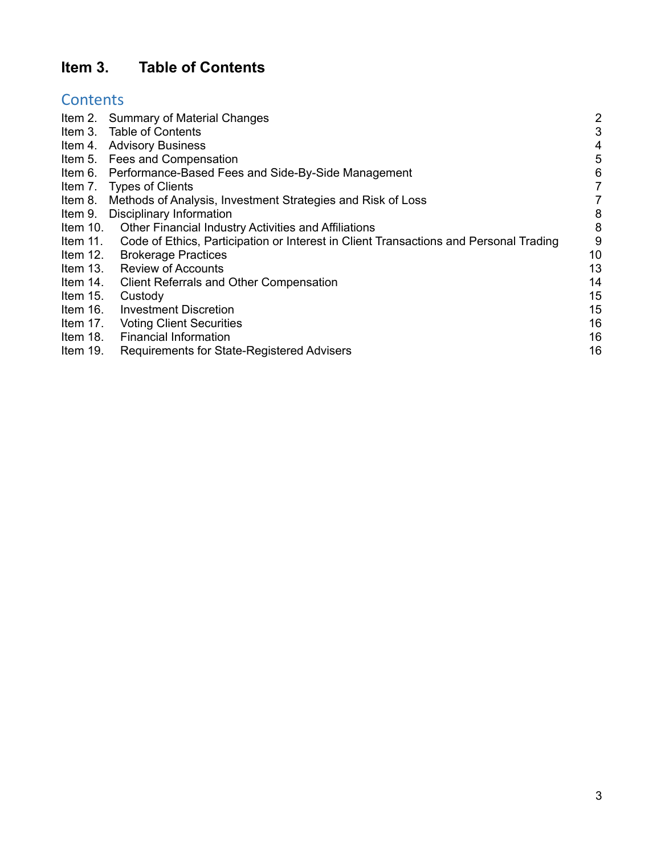# <span id="page-2-0"></span>**Item 3. Table of Contents**

# **Contents**

|            | Item 2. Summary of Material Changes                                                   | $\overline{2}$ |
|------------|---------------------------------------------------------------------------------------|----------------|
|            | Item 3. Table of Contents                                                             | 3              |
|            | Item 4. Advisory Business                                                             | 4              |
|            | Item 5. Fees and Compensation                                                         | 5              |
|            | Item 6. Performance-Based Fees and Side-By-Side Management                            | 6              |
| Item 7.    | <b>Types of Clients</b>                                                               | 7              |
| Item 8.    | Methods of Analysis, Investment Strategies and Risk of Loss                           | 7              |
| Item 9.    | Disciplinary Information                                                              | 8              |
| Item 10.   | <b>Other Financial Industry Activities and Affiliations</b>                           | 8              |
| Item 11.   | Code of Ethics, Participation or Interest in Client Transactions and Personal Trading | 9              |
| Item $12.$ | <b>Brokerage Practices</b>                                                            | 10             |
| Item $13.$ | <b>Review of Accounts</b>                                                             | 13             |
| Item 14.   | <b>Client Referrals and Other Compensation</b>                                        | 14             |
| Item $15.$ | Custody                                                                               | 15             |
| Item 16.   | <b>Investment Discretion</b>                                                          | 15             |
| Item 17.   | <b>Voting Client Securities</b>                                                       | 16             |
| Item 18.   | <b>Financial Information</b>                                                          | 16             |
| Item 19.   | Requirements for State-Registered Advisers                                            | 16             |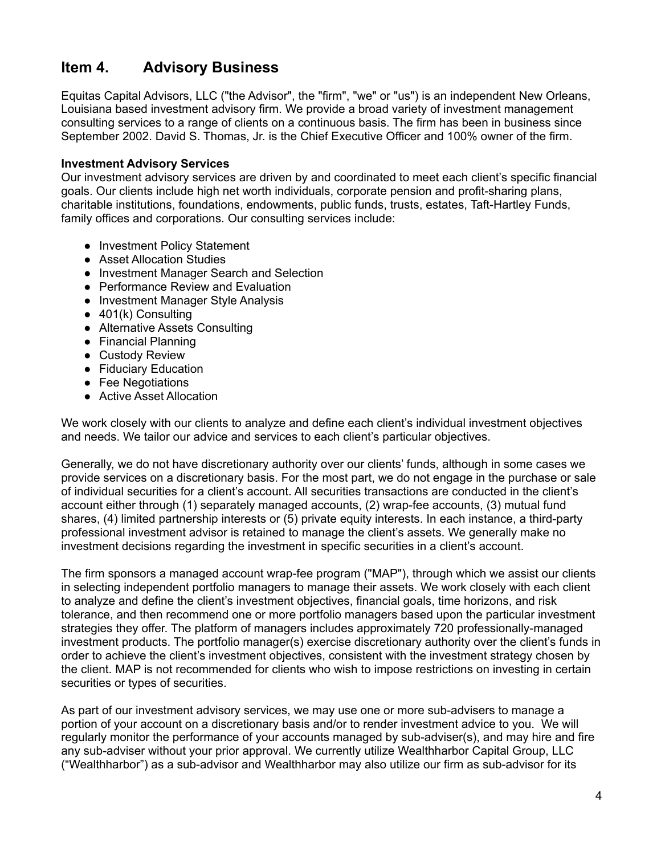# <span id="page-3-0"></span>**Item 4. Advisory Business**

Equitas Capital Advisors, LLC ("the Advisor", the "firm", "we" or "us") is an independent New Orleans, Louisiana based investment advisory firm. We provide a broad variety of investment management consulting services to a range of clients on a continuous basis. The firm has been in business since September 2002. David S. Thomas, Jr. is the Chief Executive Officer and 100% owner of the firm.

### **Investment Advisory Services**

Our investment advisory services are driven by and coordinated to meet each client's specific financial goals. Our clients include high net worth individuals, corporate pension and profit-sharing plans, charitable institutions, foundations, endowments, public funds, trusts, estates, Taft-Hartley Funds, family offices and corporations. Our consulting services include:

- Investment Policy Statement
- Asset Allocation Studies
- Investment Manager Search and Selection
- Performance Review and Evaluation
- Investment Manager Style Analysis
- 401(k) Consulting
- Alternative Assets Consulting
- Financial Planning
- Custody Review
- Fiduciary Education
- Fee Negotiations
- Active Asset Allocation

We work closely with our clients to analyze and define each client's individual investment objectives and needs. We tailor our advice and services to each client's particular objectives.

Generally, we do not have discretionary authority over our clients' funds, although in some cases we provide services on a discretionary basis. For the most part, we do not engage in the purchase or sale of individual securities for a client's account. All securities transactions are conducted in the client's account either through (1) separately managed accounts, (2) wrap-fee accounts, (3) mutual fund shares, (4) limited partnership interests or (5) private equity interests. In each instance, a third-party professional investment advisor is retained to manage the client's assets. We generally make no investment decisions regarding the investment in specific securities in a client's account.

The firm sponsors a managed account wrap-fee program ("MAP"), through which we assist our clients in selecting independent portfolio managers to manage their assets. We work closely with each client to analyze and define the client's investment objectives, financial goals, time horizons, and risk tolerance, and then recommend one or more portfolio managers based upon the particular investment strategies they offer. The platform of managers includes approximately 720 professionally-managed investment products. The portfolio manager(s) exercise discretionary authority over the client's funds in order to achieve the client's investment objectives, consistent with the investment strategy chosen by the client. MAP is not recommended for clients who wish to impose restrictions on investing in certain securities or types of securities.

As part of our investment advisory services, we may use one or more sub-advisers to manage a portion of your account on a discretionary basis and/or to render investment advice to you. We will regularly monitor the performance of your accounts managed by sub-adviser(s), and may hire and fire any sub-adviser without your prior approval. We currently utilize Wealthharbor Capital Group, LLC ("Wealthharbor") as a sub-advisor and Wealthharbor may also utilize our firm as sub-advisor for its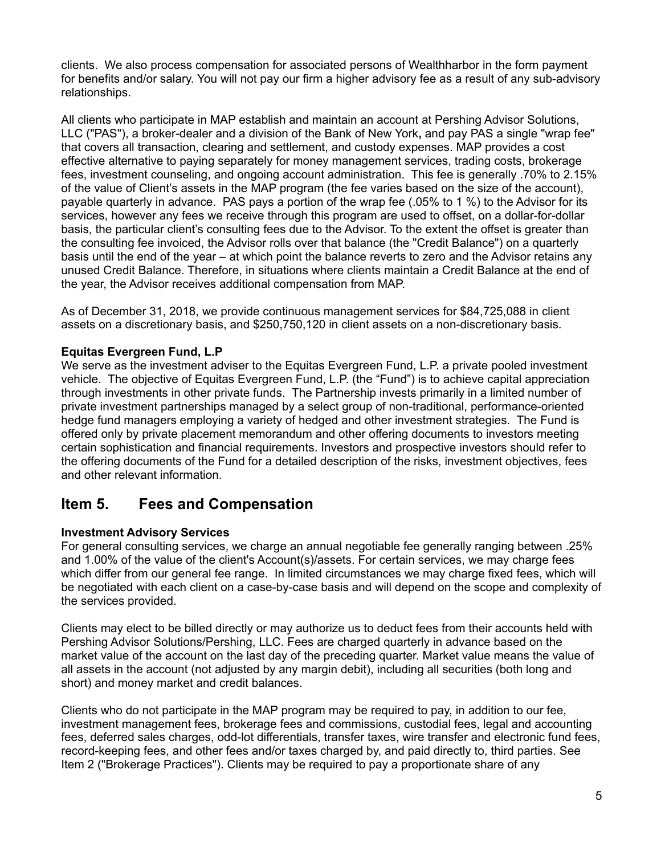clients. We also process compensation for associated persons of Wealthharbor in the form payment for benefits and/or salary. You will not pay our firm a higher advisory fee as a result of any sub-advisory relationships.

All clients who participate in MAP establish and maintain an account at Pershing Advisor Solutions, LLC ("PAS"), a broker-dealer and a division of the Bank of New York**,** and pay PAS a single "wrap fee" that covers all transaction, clearing and settlement, and custody expenses. MAP provides a cost effective alternative to paying separately for money management services, trading costs, brokerage fees, investment counseling, and ongoing account administration. This fee is generally .70% to 2.15% of the value of Client's assets in the MAP program (the fee varies based on the size of the account), payable quarterly in advance. PAS pays a portion of the wrap fee (.05% to 1 %) to the Advisor for its services, however any fees we receive through this program are used to offset, on a dollar-for-dollar basis, the particular client's consulting fees due to the Advisor. To the extent the offset is greater than the consulting fee invoiced, the Advisor rolls over that balance (the "Credit Balance") on a quarterly basis until the end of the year – at which point the balance reverts to zero and the Advisor retains any unused Credit Balance. Therefore, in situations where clients maintain a Credit Balance at the end of the year, the Advisor receives additional compensation from MAP.

As of December 31, 2018, we provide continuous management services for \$84,725,088 in client assets on a discretionary basis, and \$250,750,120 in client assets on a non-discretionary basis.

### **Equitas Evergreen Fund, L.P**

We serve as the investment adviser to the Equitas Evergreen Fund, L.P. a private pooled investment vehicle. The objective of Equitas Evergreen Fund, L.P. (the "Fund") is to achieve capital appreciation through investments in other private funds. The Partnership invests primarily in a limited number of private investment partnerships managed by a select group of non-traditional, performance-oriented hedge fund managers employing a variety of hedged and other investment strategies. The Fund is offered only by private placement memorandum and other offering documents to investors meeting certain sophistication and financial requirements. Investors and prospective investors should refer to the offering documents of the Fund for a detailed description of the risks, investment objectives, fees and other relevant information.

### <span id="page-4-0"></span>**Item 5. Fees and Compensation**

### **Investment Advisory Services**

For general consulting services, we charge an annual negotiable fee generally ranging between .25% and 1.00% of the value of the client's Account(s)/assets. For certain services, we may charge fees which differ from our general fee range. In limited circumstances we may charge fixed fees, which will be negotiated with each client on a case-by-case basis and will depend on the scope and complexity of the services provided.

Clients may elect to be billed directly or may authorize us to deduct fees from their accounts held with Pershing Advisor Solutions/Pershing, LLC. Fees are charged quarterly in advance based on the market value of the account on the last day of the preceding quarter. Market value means the value of all assets in the account (not adjusted by any margin debit), including all securities (both long and short) and money market and credit balances.

Clients who do not participate in the MAP program may be required to pay, in addition to our fee, investment management fees, brokerage fees and commissions, custodial fees, legal and accounting fees, deferred sales charges, odd-lot differentials, transfer taxes, wire transfer and electronic fund fees, record-keeping fees, and other fees and/or taxes charged by, and paid directly to, third parties. See Item 2 ("Brokerage Practices"). Clients may be required to pay a proportionate share of any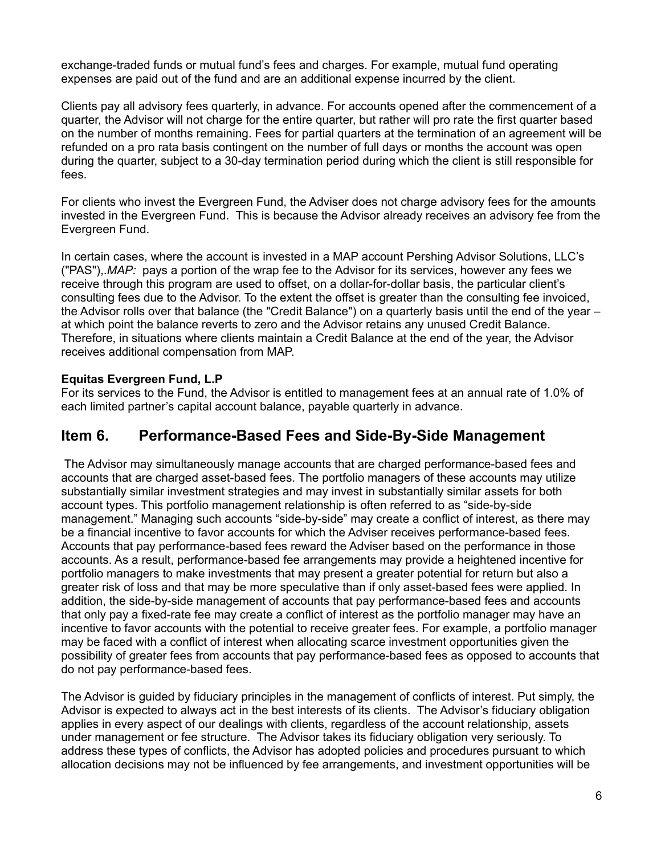exchange-traded funds or mutual fund's fees and charges. For example, mutual fund operating expenses are paid out of the fund and are an additional expense incurred by the client.

Clients pay all advisory fees quarterly, in advance. For accounts opened after the commencement of a quarter, the Advisor will not charge for the entire quarter, but rather will pro rate the first quarter based on the number of months remaining. Fees for partial quarters at the termination of an agreement will be refunded on a pro rata basis contingent on the number of full days or months the account was open during the quarter, subject to a 30-day termination period during which the client is still responsible for fees.

For clients who invest the Evergreen Fund, the Adviser does not charge advisory fees for the amounts invested in the Evergreen Fund. This is because the Advisor already receives an advisory fee from the Evergreen Fund.

In certain cases, where the account is invested in a MAP account Pershing Advisor Solutions, LLC's ("PAS"),.*MAP:* pays a portion of the wrap fee to the Advisor for its services, however any fees we receive through this program are used to offset, on a dollar-for-dollar basis, the particular client's consulting fees due to the Advisor. To the extent the offset is greater than the consulting fee invoiced, the Advisor rolls over that balance (the "Credit Balance") on a quarterly basis until the end of the year – at which point the balance reverts to zero and the Advisor retains any unused Credit Balance. Therefore, in situations where clients maintain a Credit Balance at the end of the year, the Advisor receives additional compensation from MAP.

### **Equitas Evergreen Fund, L.P**

For its services to the Fund, the Advisor is entitled to management fees at an annual rate of 1.0% of each limited partner's capital account balance, payable quarterly in advance.

## <span id="page-5-0"></span>**Item 6. Performance-Based Fees and Side-By-Side Management**

The Advisor may simultaneously manage accounts that are charged performance-based fees and accounts that are charged asset-based fees. The portfolio managers of these accounts may utilize substantially similar investment strategies and may invest in substantially similar assets for both account types. This portfolio management relationship is often referred to as "side-by-side management." Managing such accounts "side-by-side" may create a conflict of interest, as there may be a financial incentive to favor accounts for which the Adviser receives performance-based fees. Accounts that pay performance-based fees reward the Adviser based on the performance in those accounts. As a result, performance-based fee arrangements may provide a heightened incentive for portfolio managers to make investments that may present a greater potential for return but also a greater risk of loss and that may be more speculative than if only asset-based fees were applied. In addition, the side-by-side management of accounts that pay performance-based fees and accounts that only pay a fixed-rate fee may create a conflict of interest as the portfolio manager may have an incentive to favor accounts with the potential to receive greater fees. For example, a portfolio manager may be faced with a conflict of interest when allocating scarce investment opportunities given the possibility of greater fees from accounts that pay performance-based fees as opposed to accounts that do not pay performance-based fees.

The Advisor is guided by fiduciary principles in the management of conflicts of interest. Put simply, the Advisor is expected to always act in the best interests of its clients. The Advisor's fiduciary obligation applies in every aspect of our dealings with clients, regardless of the account relationship, assets under management or fee structure. The Advisor takes its fiduciary obligation very seriously. To address these types of conflicts, the Advisor has adopted policies and procedures pursuant to which allocation decisions may not be influenced by fee arrangements, and investment opportunities will be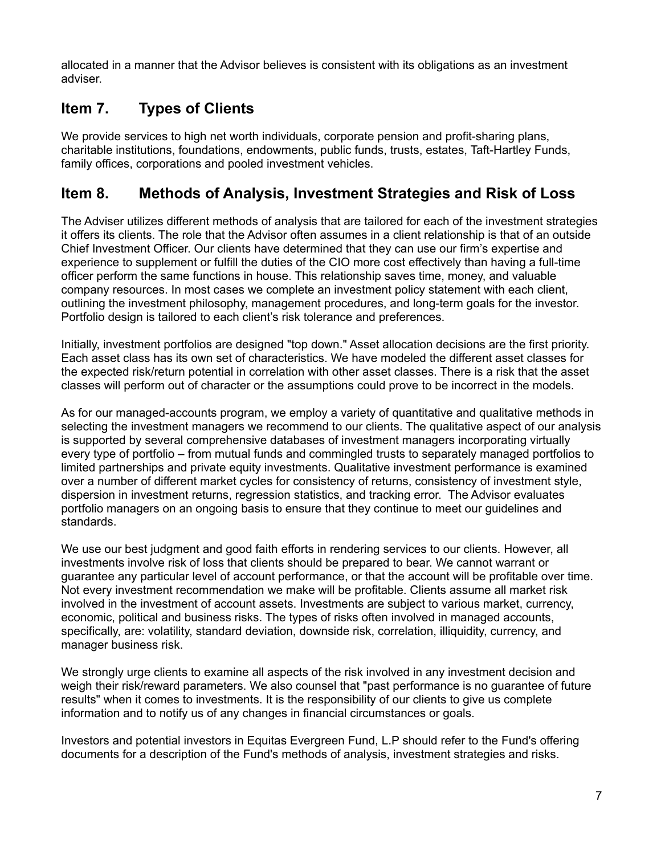allocated in a manner that the Advisor believes is consistent with its obligations as an investment adviser.

# <span id="page-6-0"></span>**Item 7. Types of Clients**

We provide services to high net worth individuals, corporate pension and profit-sharing plans, charitable institutions, foundations, endowments, public funds, trusts, estates, Taft-Hartley Funds, family offices, corporations and pooled investment vehicles.

# <span id="page-6-1"></span>**Item 8. Methods of Analysis, Investment Strategies and Risk of Loss**

The Adviser utilizes different methods of analysis that are tailored for each of the investment strategies it offers its clients. The role that the Advisor often assumes in a client relationship is that of an outside Chief Investment Officer. Our clients have determined that they can use our firm's expertise and experience to supplement or fulfill the duties of the CIO more cost effectively than having a full-time officer perform the same functions in house. This relationship saves time, money, and valuable company resources. In most cases we complete an investment policy statement with each client, outlining the investment philosophy, management procedures, and long-term goals for the investor. Portfolio design is tailored to each client's risk tolerance and preferences.

Initially, investment portfolios are designed "top down." Asset allocation decisions are the first priority. Each asset class has its own set of characteristics. We have modeled the different asset classes for the expected risk/return potential in correlation with other asset classes. There is a risk that the asset classes will perform out of character or the assumptions could prove to be incorrect in the models.

As for our managed-accounts program, we employ a variety of quantitative and qualitative methods in selecting the investment managers we recommend to our clients. The qualitative aspect of our analysis is supported by several comprehensive databases of investment managers incorporating virtually every type of portfolio – from mutual funds and commingled trusts to separately managed portfolios to limited partnerships and private equity investments. Qualitative investment performance is examined over a number of different market cycles for consistency of returns, consistency of investment style, dispersion in investment returns, regression statistics, and tracking error. The Advisor evaluates portfolio managers on an ongoing basis to ensure that they continue to meet our guidelines and standards.

We use our best judgment and good faith efforts in rendering services to our clients. However, all investments involve risk of loss that clients should be prepared to bear. We cannot warrant or guarantee any particular level of account performance, or that the account will be profitable over time. Not every investment recommendation we make will be profitable. Clients assume all market risk involved in the investment of account assets. Investments are subject to various market, currency, economic, political and business risks. The types of risks often involved in managed accounts, specifically, are: volatility, standard deviation, downside risk, correlation, illiquidity, currency, and manager business risk.

We strongly urge clients to examine all aspects of the risk involved in any investment decision and weigh their risk/reward parameters. We also counsel that "past performance is no guarantee of future results" when it comes to investments. It is the responsibility of our clients to give us complete information and to notify us of any changes in financial circumstances or goals.

Investors and potential investors in Equitas Evergreen Fund, L.P should refer to the Fund's offering documents for a description of the Fund's methods of analysis, investment strategies and risks.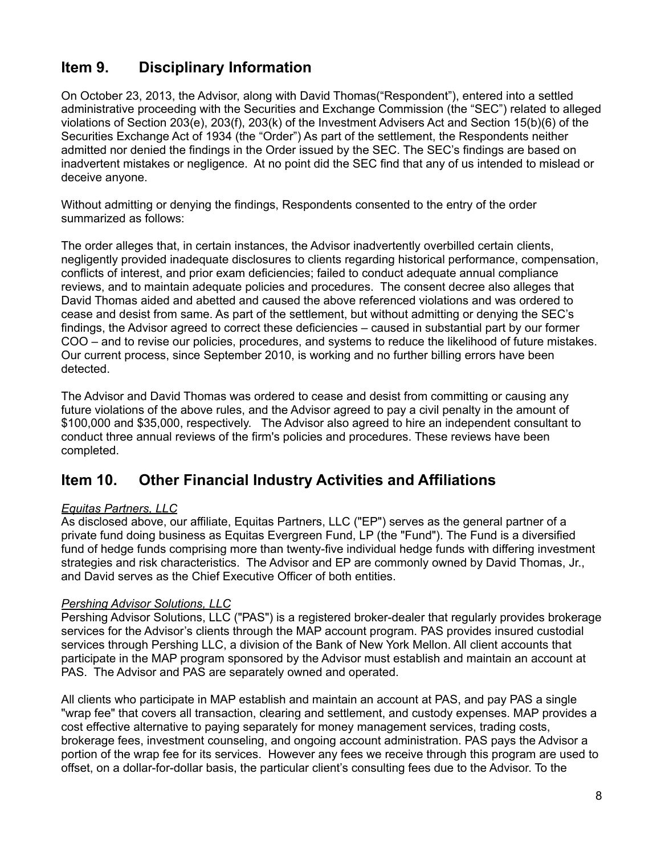# <span id="page-7-0"></span>**Item 9. Disciplinary Information**

On October 23, 2013, the Advisor, along with David Thomas("Respondent"), entered into a settled administrative proceeding with the Securities and Exchange Commission (the "SEC") related to alleged violations of Section 203(e), 203(f), 203(k) of the Investment Advisers Act and Section 15(b)(6) of the Securities Exchange Act of 1934 (the "Order") As part of the settlement, the Respondents neither admitted nor denied the findings in the Order issued by the SEC. The SEC's findings are based on inadvertent mistakes or negligence. At no point did the SEC find that any of us intended to mislead or deceive anyone.

Without admitting or denying the findings, Respondents consented to the entry of the order summarized as follows:

The order alleges that, in certain instances, the Advisor inadvertently overbilled certain clients, negligently provided inadequate disclosures to clients regarding historical performance, compensation, conflicts of interest, and prior exam deficiencies; failed to conduct adequate annual compliance reviews, and to maintain adequate policies and procedures. The consent decree also alleges that David Thomas aided and abetted and caused the above referenced violations and was ordered to cease and desist from same. As part of the settlement, but without admitting or denying the SEC's findings, the Advisor agreed to correct these deficiencies – caused in substantial part by our former COO – and to revise our policies, procedures, and systems to reduce the likelihood of future mistakes. Our current process, since September 2010, is working and no further billing errors have been detected.

The Advisor and David Thomas was ordered to cease and desist from committing or causing any future violations of the above rules, and the Advisor agreed to pay a civil penalty in the amount of \$100,000 and \$35,000, respectively. The Advisor also agreed to hire an independent consultant to conduct three annual reviews of the firm's policies and procedures. These reviews have been completed.

## <span id="page-7-1"></span>**Item 10. Other Financial Industry Activities and Affiliations**

### *Equitas Partners, LLC*

As disclosed above, our affiliate, Equitas Partners, LLC ("EP") serves as the general partner of a private fund doing business as Equitas Evergreen Fund, LP (the "Fund"). The Fund is a diversified fund of hedge funds comprising more than twenty-five individual hedge funds with differing investment strategies and risk characteristics. The Advisor and EP are commonly owned by David Thomas, Jr., and David serves as the Chief Executive Officer of both entities.

### *Pershing Advisor Solutions, LLC*

Pershing Advisor Solutions, LLC ("PAS") is a registered broker-dealer that regularly provides brokerage services for the Advisor's clients through the MAP account program. PAS provides insured custodial services through Pershing LLC, a division of the Bank of New York Mellon. All client accounts that participate in the MAP program sponsored by the Advisor must establish and maintain an account at PAS. The Advisor and PAS are separately owned and operated.

All clients who participate in MAP establish and maintain an account at PAS, and pay PAS a single "wrap fee" that covers all transaction, clearing and settlement, and custody expenses. MAP provides a cost effective alternative to paying separately for money management services, trading costs, brokerage fees, investment counseling, and ongoing account administration. PAS pays the Advisor a portion of the wrap fee for its services. However any fees we receive through this program are used to offset, on a dollar-for-dollar basis, the particular client's consulting fees due to the Advisor. To the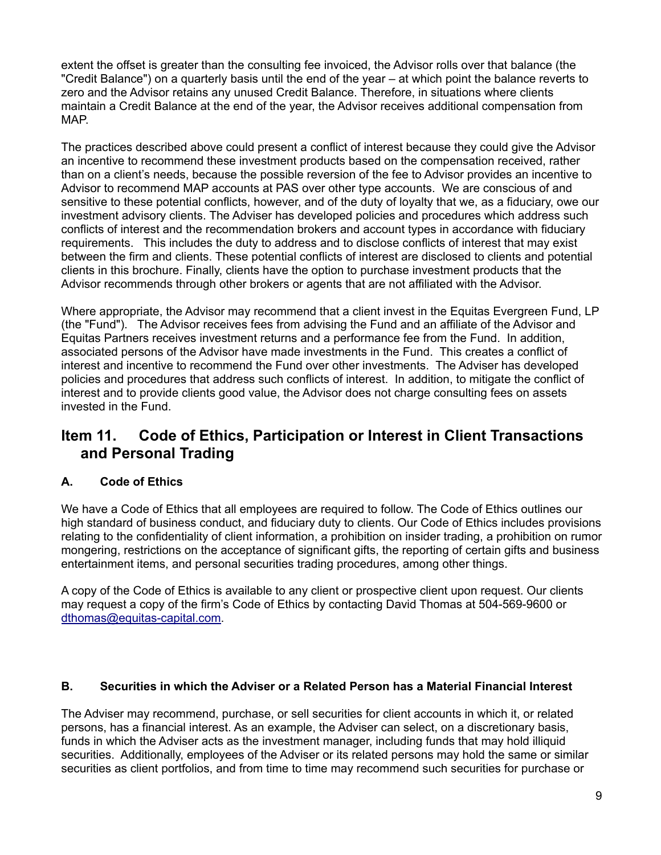extent the offset is greater than the consulting fee invoiced, the Advisor rolls over that balance (the "Credit Balance") on a quarterly basis until the end of the year – at which point the balance reverts to zero and the Advisor retains any unused Credit Balance. Therefore, in situations where clients maintain a Credit Balance at the end of the year, the Advisor receives additional compensation from MAP.

The practices described above could present a conflict of interest because they could give the Advisor an incentive to recommend these investment products based on the compensation received, rather than on a client's needs, because the possible reversion of the fee to Advisor provides an incentive to Advisor to recommend MAP accounts at PAS over other type accounts. We are conscious of and sensitive to these potential conflicts, however, and of the duty of loyalty that we, as a fiduciary, owe our investment advisory clients. The Adviser has developed policies and procedures which address such conflicts of interest and the recommendation brokers and account types in accordance with fiduciary requirements. This includes the duty to address and to disclose conflicts of interest that may exist between the firm and clients. These potential conflicts of interest are disclosed to clients and potential clients in this brochure. Finally, clients have the option to purchase investment products that the Advisor recommends through other brokers or agents that are not affiliated with the Advisor.

Where appropriate, the Advisor may recommend that a client invest in the Equitas Evergreen Fund, LP (the "Fund"). The Advisor receives fees from advising the Fund and an affiliate of the Advisor and Equitas Partners receives investment returns and a performance fee from the Fund. In addition, associated persons of the Advisor have made investments in the Fund. This creates a conflict of interest and incentive to recommend the Fund over other investments. The Adviser has developed policies and procedures that address such conflicts of interest. In addition, to mitigate the conflict of interest and to provide clients good value, the Advisor does not charge consulting fees on assets invested in the Fund.

# <span id="page-8-0"></span>**Item 11. Code of Ethics, Participation or Interest in Client Transactions and Personal Trading**

### **A. Code of Ethics**

We have a Code of Ethics that all employees are required to follow. The Code of Ethics outlines our high standard of business conduct, and fiduciary duty to clients. Our Code of Ethics includes provisions relating to the confidentiality of client information, a prohibition on insider trading, a prohibition on rumor mongering, restrictions on the acceptance of significant gifts, the reporting of certain gifts and business entertainment items, and personal securities trading procedures, among other things.

A copy of the Code of Ethics is available to any client or prospective client upon request. Our clients may request a copy of the firm's Code of Ethics by contacting David Thomas at 504-569-9600 or [dthomas@equitas-capital.com.](mailto:dthomas@equitas-capital.com)

### **B. Securities in which the Adviser or a Related Person has a Material Financial Interest**

The Adviser may recommend, purchase, or sell securities for client accounts in which it, or related persons, has a financial interest. As an example, the Adviser can select, on a discretionary basis, funds in which the Adviser acts as the investment manager, including funds that may hold illiquid securities. Additionally, employees of the Adviser or its related persons may hold the same or similar securities as client portfolios, and from time to time may recommend such securities for purchase or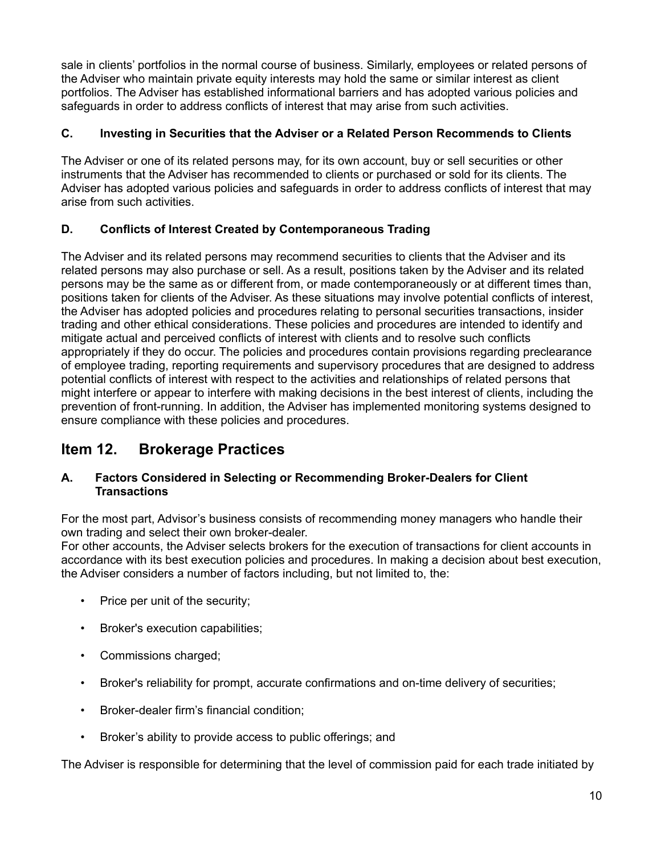sale in clients' portfolios in the normal course of business. Similarly, employees or related persons of the Adviser who maintain private equity interests may hold the same or similar interest as client portfolios. The Adviser has established informational barriers and has adopted various policies and safeguards in order to address conflicts of interest that may arise from such activities.

### **C. Investing in Securities that the Adviser or a Related Person Recommends to Clients**

The Adviser or one of its related persons may, for its own account, buy or sell securities or other instruments that the Adviser has recommended to clients or purchased or sold for its clients. The Adviser has adopted various policies and safeguards in order to address conflicts of interest that may arise from such activities.

### **D. Conflicts of Interest Created by Contemporaneous Trading**

The Adviser and its related persons may recommend securities to clients that the Adviser and its related persons may also purchase or sell. As a result, positions taken by the Adviser and its related persons may be the same as or different from, or made contemporaneously or at different times than, positions taken for clients of the Adviser. As these situations may involve potential conflicts of interest, the Adviser has adopted policies and procedures relating to personal securities transactions, insider trading and other ethical considerations. These policies and procedures are intended to identify and mitigate actual and perceived conflicts of interest with clients and to resolve such conflicts appropriately if they do occur. The policies and procedures contain provisions regarding preclearance of employee trading, reporting requirements and supervisory procedures that are designed to address potential conflicts of interest with respect to the activities and relationships of related persons that might interfere or appear to interfere with making decisions in the best interest of clients, including the prevention of front-running. In addition, the Adviser has implemented monitoring systems designed to ensure compliance with these policies and procedures.

# <span id="page-9-0"></span>**Item 12. Brokerage Practices**

### **A. Factors Considered in Selecting or Recommending Broker-Dealers for Client Transactions**

For the most part, Advisor's business consists of recommending money managers who handle their own trading and select their own broker-dealer.

For other accounts, the Adviser selects brokers for the execution of transactions for client accounts in accordance with its best execution policies and procedures. In making a decision about best execution, the Adviser considers a number of factors including, but not limited to, the:

- Price per unit of the security;
- Broker's execution capabilities;
- Commissions charged;
- Broker's reliability for prompt, accurate confirmations and on-time delivery of securities;
- Broker-dealer firm's financial condition;
- Broker's ability to provide access to public offerings; and

The Adviser is responsible for determining that the level of commission paid for each trade initiated by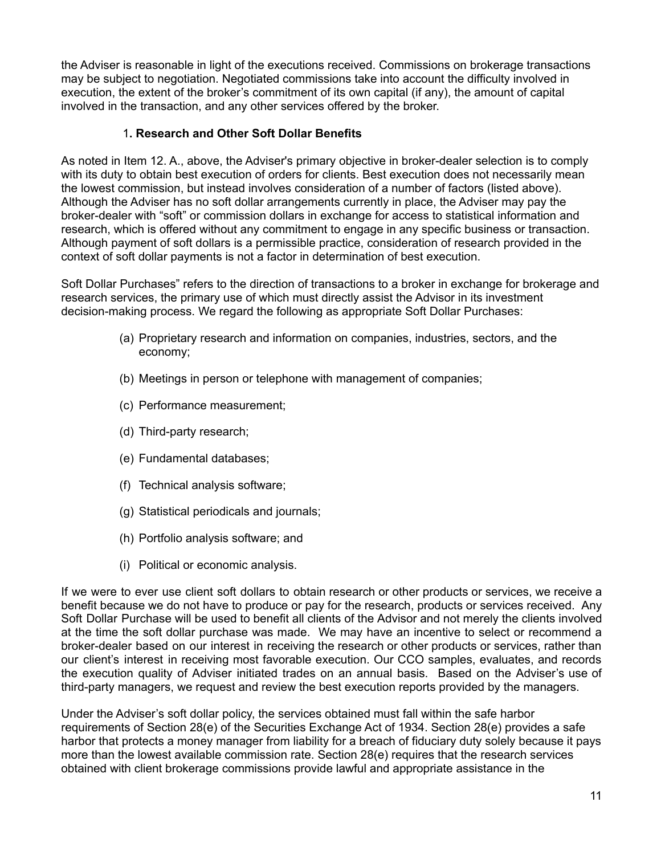the Adviser is reasonable in light of the executions received. Commissions on brokerage transactions may be subject to negotiation. Negotiated commissions take into account the difficulty involved in execution, the extent of the broker's commitment of its own capital (if any), the amount of capital involved in the transaction, and any other services offered by the broker.

### 1**. Research and Other Soft Dollar Benefits**

As noted in Item 12. A., above, the Adviser's primary objective in broker-dealer selection is to comply with its duty to obtain best execution of orders for clients. Best execution does not necessarily mean the lowest commission, but instead involves consideration of a number of factors (listed above). Although the Adviser has no soft dollar arrangements currently in place, the Adviser may pay the broker-dealer with "soft" or commission dollars in exchange for access to statistical information and research, which is offered without any commitment to engage in any specific business or transaction. Although payment of soft dollars is a permissible practice, consideration of research provided in the context of soft dollar payments is not a factor in determination of best execution.

Soft Dollar Purchases" refers to the direction of transactions to a broker in exchange for brokerage and research services, the primary use of which must directly assist the Advisor in its investment decision-making process. We regard the following as appropriate Soft Dollar Purchases:

- (a) Proprietary research and information on companies, industries, sectors, and the economy;
- (b) Meetings in person or telephone with management of companies;
- (c) Performance measurement;
- (d) Third-party research;
- (e) Fundamental databases;
- (f) Technical analysis software;
- (g) Statistical periodicals and journals;
- (h) Portfolio analysis software; and
- (i) Political or economic analysis.

If we were to ever use client soft dollars to obtain research or other products or services, we receive a benefit because we do not have to produce or pay for the research, products or services received. Any Soft Dollar Purchase will be used to benefit all clients of the Advisor and not merely the clients involved at the time the soft dollar purchase was made. We may have an incentive to select or recommend a broker-dealer based on our interest in receiving the research or other products or services, rather than our client's interest in receiving most favorable execution. Our CCO samples, evaluates, and records the execution quality of Adviser initiated trades on an annual basis. Based on the Adviser's use of third-party managers, we request and review the best execution reports provided by the managers.

Under the Adviser's soft dollar policy, the services obtained must fall within the safe harbor requirements of Section 28(e) of the Securities Exchange Act of 1934. Section 28(e) provides a safe harbor that protects a money manager from liability for a breach of fiduciary duty solely because it pays more than the lowest available commission rate. Section 28(e) requires that the research services obtained with client brokerage commissions provide lawful and appropriate assistance in the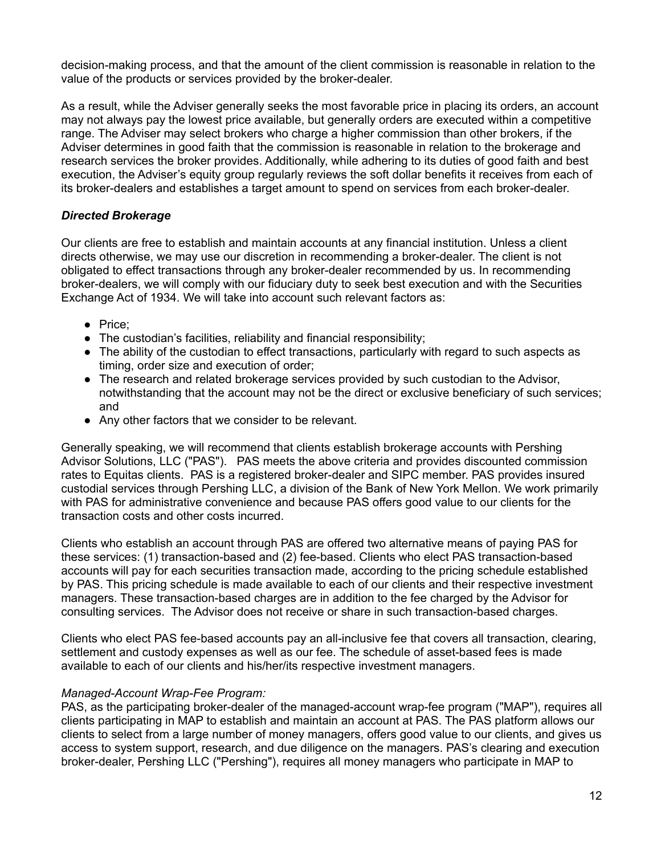decision-making process, and that the amount of the client commission is reasonable in relation to the value of the products or services provided by the broker-dealer.

As a result, while the Adviser generally seeks the most favorable price in placing its orders, an account may not always pay the lowest price available, but generally orders are executed within a competitive range. The Adviser may select brokers who charge a higher commission than other brokers, if the Adviser determines in good faith that the commission is reasonable in relation to the brokerage and research services the broker provides. Additionally, while adhering to its duties of good faith and best execution, the Adviser's equity group regularly reviews the soft dollar benefits it receives from each of its broker-dealers and establishes a target amount to spend on services from each broker-dealer.

### *Directed Brokerage*

Our clients are free to establish and maintain accounts at any financial institution. Unless a client directs otherwise, we may use our discretion in recommending a broker-dealer. The client is not obligated to effect transactions through any broker-dealer recommended by us. In recommending broker-dealers, we will comply with our fiduciary duty to seek best execution and with the Securities Exchange Act of 1934. We will take into account such relevant factors as:

- Price;
- The custodian's facilities, reliability and financial responsibility;
- The ability of the custodian to effect transactions, particularly with regard to such aspects as timing, order size and execution of order;
- The research and related brokerage services provided by such custodian to the Advisor, notwithstanding that the account may not be the direct or exclusive beneficiary of such services; and
- Any other factors that we consider to be relevant.

Generally speaking, we will recommend that clients establish brokerage accounts with Pershing Advisor Solutions, LLC ("PAS"). PAS meets the above criteria and provides discounted commission rates to Equitas clients. PAS is a registered broker-dealer and SIPC member. PAS provides insured custodial services through Pershing LLC, a division of the Bank of New York Mellon. We work primarily with PAS for administrative convenience and because PAS offers good value to our clients for the transaction costs and other costs incurred.

Clients who establish an account through PAS are offered two alternative means of paying PAS for these services: (1) transaction-based and (2) fee-based. Clients who elect PAS transaction-based accounts will pay for each securities transaction made, according to the pricing schedule established by PAS. This pricing schedule is made available to each of our clients and their respective investment managers. These transaction-based charges are in addition to the fee charged by the Advisor for consulting services. The Advisor does not receive or share in such transaction-based charges.

Clients who elect PAS fee-based accounts pay an all-inclusive fee that covers all transaction, clearing, settlement and custody expenses as well as our fee. The schedule of asset-based fees is made available to each of our clients and his/her/its respective investment managers.

### *Managed-Account Wrap-Fee Program:*

PAS, as the participating broker-dealer of the managed-account wrap-fee program ("MAP"), requires all clients participating in MAP to establish and maintain an account at PAS. The PAS platform allows our clients to select from a large number of money managers, offers good value to our clients, and gives us access to system support, research, and due diligence on the managers. PAS's clearing and execution broker-dealer, Pershing LLC ("Pershing"), requires all money managers who participate in MAP to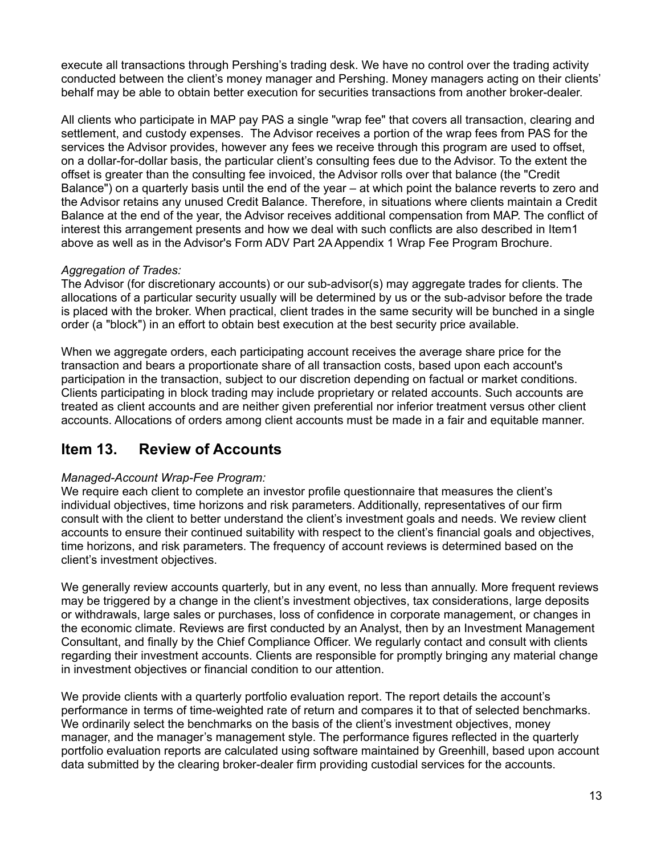execute all transactions through Pershing's trading desk. We have no control over the trading activity conducted between the client's money manager and Pershing. Money managers acting on their clients' behalf may be able to obtain better execution for securities transactions from another broker-dealer.

All clients who participate in MAP pay PAS a single "wrap fee" that covers all transaction, clearing and settlement, and custody expenses. The Advisor receives a portion of the wrap fees from PAS for the services the Advisor provides, however any fees we receive through this program are used to offset, on a dollar-for-dollar basis, the particular client's consulting fees due to the Advisor. To the extent the offset is greater than the consulting fee invoiced, the Advisor rolls over that balance (the "Credit Balance") on a quarterly basis until the end of the year – at which point the balance reverts to zero and the Advisor retains any unused Credit Balance. Therefore, in situations where clients maintain a Credit Balance at the end of the year, the Advisor receives additional compensation from MAP. The conflict of interest this arrangement presents and how we deal with such conflicts are also described in Item1 above as well as in the Advisor's Form ADV Part 2A Appendix 1 Wrap Fee Program Brochure.

### *Aggregation of Trades:*

The Advisor (for discretionary accounts) or our sub-advisor(s) may aggregate trades for clients. The allocations of a particular security usually will be determined by us or the sub-advisor before the trade is placed with the broker. When practical, client trades in the same security will be bunched in a single order (a "block") in an effort to obtain best execution at the best security price available.

When we aggregate orders, each participating account receives the average share price for the transaction and bears a proportionate share of all transaction costs, based upon each account's participation in the transaction, subject to our discretion depending on factual or market conditions. Clients participating in block trading may include proprietary or related accounts. Such accounts are treated as client accounts and are neither given preferential nor inferior treatment versus other client accounts. Allocations of orders among client accounts must be made in a fair and equitable manner.

## <span id="page-12-0"></span>**Item 13. Review of Accounts**

### *Managed-Account Wrap-Fee Program:*

We require each client to complete an investor profile questionnaire that measures the client's individual objectives, time horizons and risk parameters. Additionally, representatives of our firm consult with the client to better understand the client's investment goals and needs. We review client accounts to ensure their continued suitability with respect to the client's financial goals and objectives, time horizons, and risk parameters. The frequency of account reviews is determined based on the client's investment objectives.

We generally review accounts quarterly, but in any event, no less than annually. More frequent reviews may be triggered by a change in the client's investment objectives, tax considerations, large deposits or withdrawals, large sales or purchases, loss of confidence in corporate management, or changes in the economic climate. Reviews are first conducted by an Analyst, then by an Investment Management Consultant, and finally by the Chief Compliance Officer. We regularly contact and consult with clients regarding their investment accounts. Clients are responsible for promptly bringing any material change in investment objectives or financial condition to our attention.

We provide clients with a quarterly portfolio evaluation report. The report details the account's performance in terms of time-weighted rate of return and compares it to that of selected benchmarks. We ordinarily select the benchmarks on the basis of the client's investment objectives, money manager, and the manager's management style. The performance figures reflected in the quarterly portfolio evaluation reports are calculated using software maintained by Greenhill, based upon account data submitted by the clearing broker-dealer firm providing custodial services for the accounts.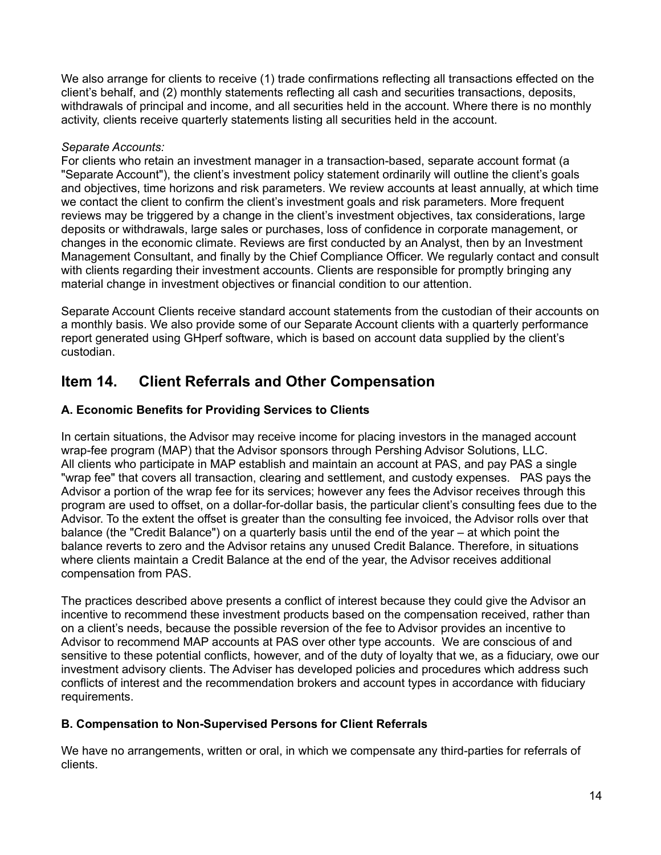We also arrange for clients to receive (1) trade confirmations reflecting all transactions effected on the client's behalf, and (2) monthly statements reflecting all cash and securities transactions, deposits, withdrawals of principal and income, and all securities held in the account. Where there is no monthly activity, clients receive quarterly statements listing all securities held in the account.

### *Separate Accounts:*

For clients who retain an investment manager in a transaction-based, separate account format (a "Separate Account"), the client's investment policy statement ordinarily will outline the client's goals and objectives, time horizons and risk parameters. We review accounts at least annually, at which time we contact the client to confirm the client's investment goals and risk parameters. More frequent reviews may be triggered by a change in the client's investment objectives, tax considerations, large deposits or withdrawals, large sales or purchases, loss of confidence in corporate management, or changes in the economic climate. Reviews are first conducted by an Analyst, then by an Investment Management Consultant, and finally by the Chief Compliance Officer. We regularly contact and consult with clients regarding their investment accounts. Clients are responsible for promptly bringing any material change in investment objectives or financial condition to our attention.

Separate Account Clients receive standard account statements from the custodian of their accounts on a monthly basis. We also provide some of our Separate Account clients with a quarterly performance report generated using GHperf software, which is based on account data supplied by the client's custodian.

# <span id="page-13-0"></span>**Item 14. Client Referrals and Other Compensation**

### **A. Economic Benefits for Providing Services to Clients**

In certain situations, the Advisor may receive income for placing investors in the managed account wrap-fee program (MAP) that the Advisor sponsors through Pershing Advisor Solutions, LLC. All clients who participate in MAP establish and maintain an account at PAS, and pay PAS a single "wrap fee" that covers all transaction, clearing and settlement, and custody expenses. PAS pays the Advisor a portion of the wrap fee for its services; however any fees the Advisor receives through this program are used to offset, on a dollar-for-dollar basis, the particular client's consulting fees due to the Advisor. To the extent the offset is greater than the consulting fee invoiced, the Advisor rolls over that balance (the "Credit Balance") on a quarterly basis until the end of the year – at which point the balance reverts to zero and the Advisor retains any unused Credit Balance. Therefore, in situations where clients maintain a Credit Balance at the end of the year, the Advisor receives additional compensation from PAS.

The practices described above presents a conflict of interest because they could give the Advisor an incentive to recommend these investment products based on the compensation received, rather than on a client's needs, because the possible reversion of the fee to Advisor provides an incentive to Advisor to recommend MAP accounts at PAS over other type accounts. We are conscious of and sensitive to these potential conflicts, however, and of the duty of loyalty that we, as a fiduciary, owe our investment advisory clients. The Adviser has developed policies and procedures which address such conflicts of interest and the recommendation brokers and account types in accordance with fiduciary requirements.

### **B. Compensation to Non-Supervised Persons for Client Referrals**

We have no arrangements, written or oral, in which we compensate any third-parties for referrals of clients.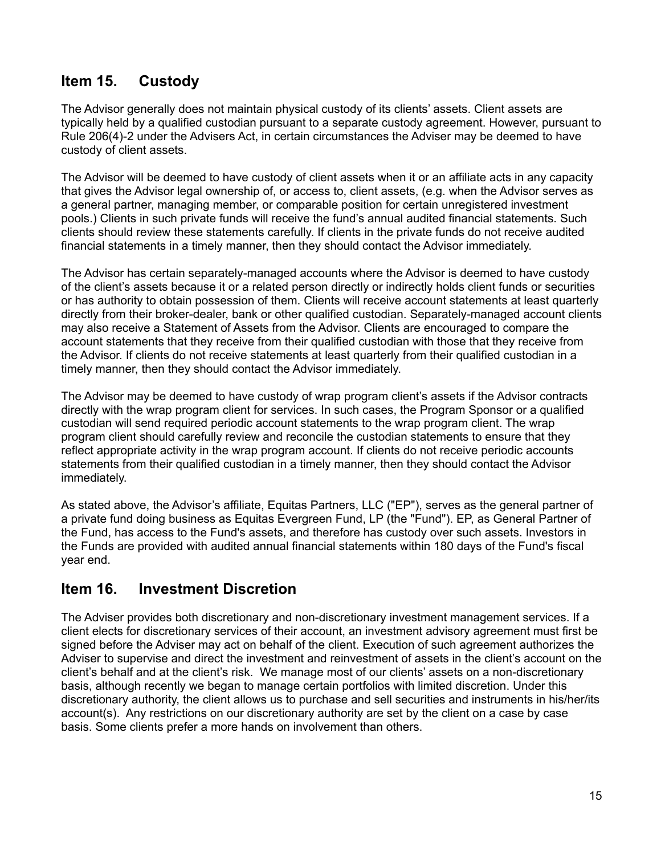# <span id="page-14-0"></span>**Item 15. Custody**

The Advisor generally does not maintain physical custody of its clients' assets. Client assets are typically held by a qualified custodian pursuant to a separate custody agreement. However, pursuant to Rule 206(4)-2 under the Advisers Act, in certain circumstances the Adviser may be deemed to have custody of client assets.

The Advisor will be deemed to have custody of client assets when it or an affiliate acts in any capacity that gives the Advisor legal ownership of, or access to, client assets, (e.g. when the Advisor serves as a general partner, managing member, or comparable position for certain unregistered investment pools.) Clients in such private funds will receive the fund's annual audited financial statements. Such clients should review these statements carefully. If clients in the private funds do not receive audited financial statements in a timely manner, then they should contact the Advisor immediately.

The Advisor has certain separately-managed accounts where the Advisor is deemed to have custody of the client's assets because it or a related person directly or indirectly holds client funds or securities or has authority to obtain possession of them. Clients will receive account statements at least quarterly directly from their broker-dealer, bank or other qualified custodian. Separately-managed account clients may also receive a Statement of Assets from the Advisor. Clients are encouraged to compare the account statements that they receive from their qualified custodian with those that they receive from the Advisor. If clients do not receive statements at least quarterly from their qualified custodian in a timely manner, then they should contact the Advisor immediately.

The Advisor may be deemed to have custody of wrap program client's assets if the Advisor contracts directly with the wrap program client for services. In such cases, the Program Sponsor or a qualified custodian will send required periodic account statements to the wrap program client. The wrap program client should carefully review and reconcile the custodian statements to ensure that they reflect appropriate activity in the wrap program account. If clients do not receive periodic accounts statements from their qualified custodian in a timely manner, then they should contact the Advisor immediately.

As stated above, the Advisor's affiliate, Equitas Partners, LLC ("EP"), serves as the general partner of a private fund doing business as Equitas Evergreen Fund, LP (the "Fund"). EP, as General Partner of the Fund, has access to the Fund's assets, and therefore has custody over such assets. Investors in the Funds are provided with audited annual financial statements within 180 days of the Fund's fiscal year end.

# <span id="page-14-1"></span>**Item 16. Investment Discretion**

The Adviser provides both discretionary and non-discretionary investment management services. If a client elects for discretionary services of their account, an investment advisory agreement must first be signed before the Adviser may act on behalf of the client. Execution of such agreement authorizes the Adviser to supervise and direct the investment and reinvestment of assets in the client's account on the client's behalf and at the client's risk. We manage most of our clients' assets on a non-discretionary basis, although recently we began to manage certain portfolios with limited discretion. Under this discretionary authority, the client allows us to purchase and sell securities and instruments in his/her/its account(s). Any restrictions on our discretionary authority are set by the client on a case by case basis. Some clients prefer a more hands on involvement than others.